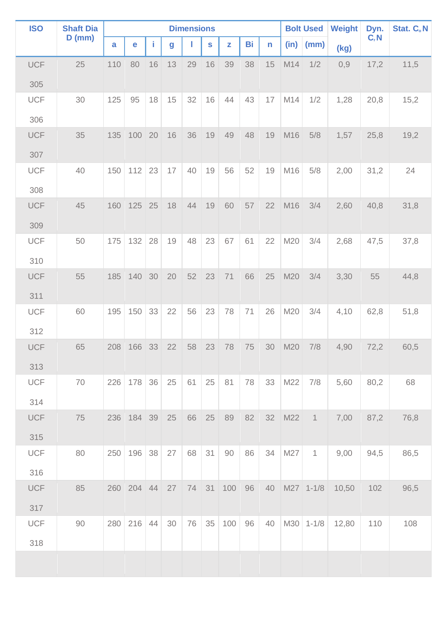| <b>ISO</b> | <b>Shaft Dia</b><br>$D$ (mm) | <b>Dimensions</b> |        |    |    |    |    |     |    |    |      | <b>Bolt Used</b> | <b>Weight</b> | Dyn.   | Stat. C.N |
|------------|------------------------------|-------------------|--------|----|----|----|----|-----|----|----|------|------------------|---------------|--------|-----------|
|            |                              | a                 | e      | L  | g  |    | S  | z   | Bi | n  | (in) | (mm)             | (kg)          | $C_rN$ |           |
| <b>UCF</b> | 25                           | 110               | 80     | 16 | 13 | 29 | 16 | 39  | 38 | 15 | M14  | 1/2              | 0,9           | 17,2   | 11,5      |
| 305        |                              |                   |        |    |    |    |    |     |    |    |      |                  |               |        |           |
| <b>UCF</b> | 30                           | 125               | 95     | 18 | 15 | 32 | 16 | 44  | 43 | 17 | M14  | 1/2              | 1,28          | 20,8   | 15,2      |
| 306        |                              |                   |        |    |    |    |    |     |    |    |      |                  |               |        |           |
| <b>UCF</b> | 35                           | 135               | 100    | 20 | 16 | 36 | 19 | 49  | 48 | 19 | M16  | 5/8              | 1,57          | 25,8   | 19,2      |
| 307        |                              |                   |        |    |    |    |    |     |    |    |      |                  |               |        |           |
| <b>UCF</b> | 40                           | 150               | 112    | 23 | 17 | 40 | 19 | 56  | 52 | 19 | M16  | 5/8              | 2,00          | 31,2   | 24        |
| 308        |                              |                   |        |    |    |    |    |     |    |    |      |                  |               |        |           |
| <b>UCF</b> | 45                           | 160               | 125    | 25 | 18 | 44 | 19 | 60  | 57 | 22 | M16  | 3/4              | 2,60          | 40,8   | 31,8      |
| 309        |                              |                   |        |    |    |    |    |     |    |    |      |                  |               |        |           |
| <b>UCF</b> | 50                           | 175               | 132    | 28 | 19 | 48 | 23 | 67  | 61 | 22 | M20  | 3/4              | 2,68          | 47,5   | 37,8      |
| 310        |                              |                   |        |    |    |    |    |     |    |    |      |                  |               |        |           |
| <b>UCF</b> | 55                           | 185               | 140    | 30 | 20 | 52 | 23 | 71  | 66 | 25 | M20  | 3/4              | 3,30          | 55     | 44,8      |
| 311        |                              |                   |        |    |    |    |    |     |    |    |      |                  |               |        |           |
| <b>UCF</b> | 60                           | 195               | 150    | 33 | 22 | 56 | 23 | 78  | 71 | 26 | M20  | 3/4              | 4,10          | 62,8   | 51,8      |
| 312        |                              |                   |        |    |    |    |    |     |    |    |      |                  |               |        |           |
| <b>UCF</b> | 65                           | 208               | 166    | 33 | 22 | 58 | 23 | 78  | 75 | 30 | M20  | 7/8              | 4,90          | 72,2   | 60,5      |
| 313        |                              |                   |        |    |    |    |    |     |    |    |      |                  |               |        |           |
| <b>UCF</b> | 70                           | 226               | 178    | 36 | 25 | 61 | 25 | 81  | 78 | 33 | M22  | 7/8              | 5,60          | 80,2   | 68        |
| 314        |                              |                   |        |    |    |    |    |     |    |    |      |                  |               |        |           |
| <b>UCF</b> | 75                           | 236               | 184 39 |    | 25 | 66 | 25 | 89  | 82 | 32 | M22  | $\mathbf{1}$     | 7,00          | 87,2   | 76,8      |
| 315        |                              |                   |        |    |    |    |    |     |    |    |      |                  |               |        |           |
| <b>UCF</b> | 80                           | 250               | 196    | 38 | 27 | 68 | 31 | 90  | 86 | 34 | M27  | $\mathbf 1$      | 9,00          | 94,5   | 86,5      |
| 316        |                              |                   |        |    |    |    |    |     |    |    |      |                  |               |        |           |
| <b>UCF</b> | 85                           | 260               | 204 44 |    | 27 | 74 | 31 | 100 | 96 | 40 |      | M27 1-1/8        | 10,50         | 102    | 96,5      |
| 317        |                              |                   |        |    |    |    |    |     |    |    |      |                  |               |        |           |
| <b>UCF</b> | 90                           | 280               | 216    | 44 | 30 | 76 | 35 | 100 | 96 | 40 |      | $M30$ 1-1/8      | 12,80         | 110    | 108       |
| 318        |                              |                   |        |    |    |    |    |     |    |    |      |                  |               |        |           |
|            |                              |                   |        |    |    |    |    |     |    |    |      |                  |               |        |           |